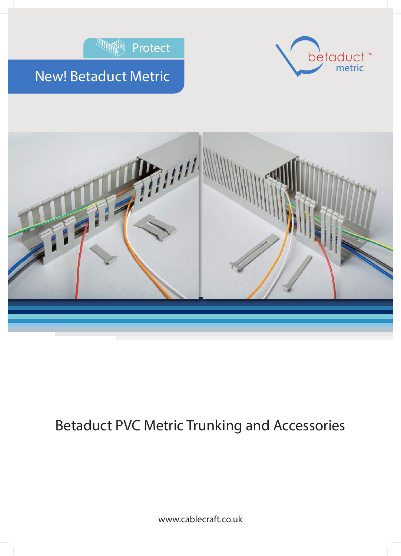







## Betaduct PVC Metric Trunking and Accessories

www.cablecraft.co.uk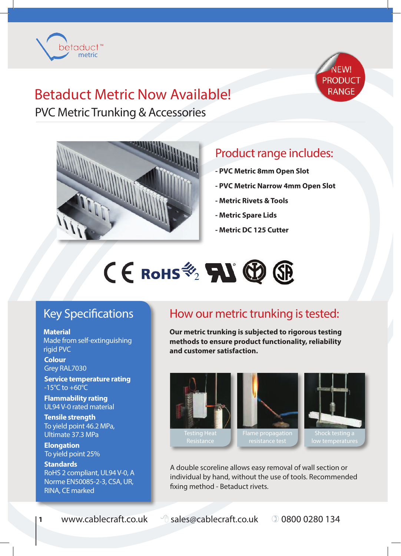





PVC Metric Trunking & Accessories



## Product range includes:

- **PVC Metric 8mm Open Slot**
- **PVC Metric Narrow 4mm Open Slot**
- **Metric Rivets & Tools**
- **Metric Spare Lids**
- **Metric DC 125 Cutter**



### Key Specifications

**Material** Made from self-extinguishing rigid PVC

**Colour** Grey RAL7030

 $-15^{\circ}$ C to  $+60^{\circ}$ C **Service temperature rating**

**Flammability rating** UL94 V-0 rated material

**Tensile strength** To yield point 46.2 MPa, Ultimate 37.3 MPa

**Elongation** To yield point 25%

**Standards** RoHS 2 compliant, UL94 V-0, A Norme EN50085-2-3, CSA, UR, RINA, CE marked

### How our metric trunking is tested:

**Our metric trunking is subjected to rigorous testing methods to ensure product functionality, reliability and customer satisfaction.**







A double scoreline allows easy removal of wall section or individual by hand, without the use of tools. Recommended fixing method - Betaduct rivets.

**1** www.cablecraft.co.uk <sup>8</sup> sales@cablecraft.co.uk 0 0800 0280 134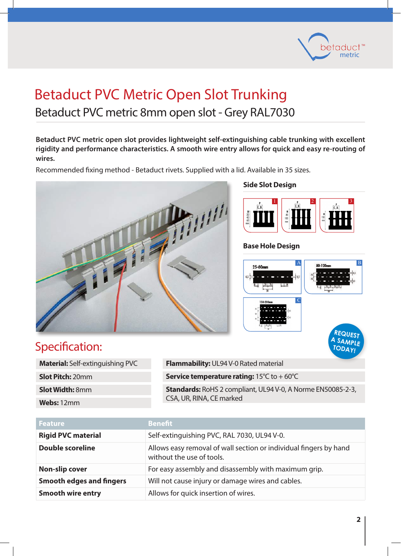

## Betaduct PVC Metric Open Slot Trunking Betaduct PVC metric 8mm open slot - Grey RAL7030

**Betaduct PVC metric open slot provides lightweight self-extinguishing cable trunking with excellent rigidity and performance characteristics. A smooth wire entry allows for quick and easy re-routing of wires.**

Recommended fixing method - Betaduct rivets. Supplied with a lid. Available in 35 sizes.



#### **Side Slot Design**



#### **Base Hole Design**



### Specification:

| <b>Material:</b> Self-extinguishing PVC |
|-----------------------------------------|
| <b>Slot Pitch: 20mm</b>                 |
| <b>Slot Width: 8mm</b>                  |
| <b>Webs:</b> 12mm                       |
|                                         |

**Flammability:** UL94 V-0 Rated material **Service temperature rating:** 15°C to + 60°C **Standards:** RoHS 2 compliant, UL94 V-0, A Norme EN50085-2-3, CSA, UR, RINA, CE marked

| <b>Feature</b>                  | <b>Benefit</b>                                                                                 |
|---------------------------------|------------------------------------------------------------------------------------------------|
| <b>Rigid PVC material</b>       | Self-extinguishing PVC, RAL 7030, UL94 V-0.                                                    |
| <b>Double scoreline</b>         | Allows easy removal of wall section or individual fingers by hand<br>without the use of tools. |
| <b>Non-slip cover</b>           | For easy assembly and disassembly with maximum grip.                                           |
| <b>Smooth edges and fingers</b> | Will not cause injury or damage wires and cables.                                              |
| <b>Smooth wire entry</b>        | Allows for quick insertion of wires.                                                           |

**TODAY!**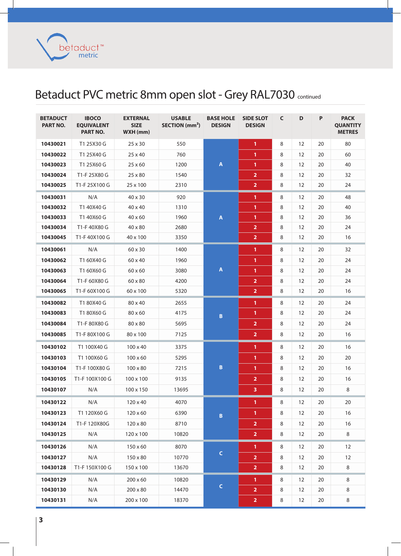metric betaduct<sup>™</sup>

## Betaduct PVC metric 8mm open slot - Grey RAL7030 continued

| <b>BETADUCT</b><br>PART NO. | <b>IBOCO</b><br><b>EQUIVALENT</b><br><b>PART NO.</b> | <b>EXTERNAL</b><br><b>SIZE</b><br>WXH (mm) | <b>USABLE</b><br>SECTION (mm <sup>2</sup> ) | <b>BASE HOLE</b><br><b>DESIGN</b> | <b>SIDE SLOT</b><br><b>DESIGN</b> | $\mathsf{C}$ | D  | P  | <b>PACK</b><br><b>QUANTITY</b><br><b>METRES</b> |
|-----------------------------|------------------------------------------------------|--------------------------------------------|---------------------------------------------|-----------------------------------|-----------------------------------|--------------|----|----|-------------------------------------------------|
| 10430021                    | T1 25X30 G                                           | 25 x 30                                    | 550                                         |                                   | $\mathbf{1}$                      | 8            | 12 | 20 | 80                                              |
| 10430022                    | T1 25X40 G                                           | $25 \times 40$                             | 760                                         |                                   | 1.                                | 8            | 12 | 20 | 60                                              |
| 10430023                    | T1 25X60 G                                           | 25 x 60                                    | 1200                                        | $\boldsymbol{\mathsf{A}}$         | $\mathbf{1}$                      | 8            | 12 | 20 | 40                                              |
| 10430024                    | T1-F 25X80 G                                         | 25 x 80                                    | 1540                                        |                                   | $\overline{2}$                    | 8            | 12 | 20 | 32                                              |
| 10430025                    | T1-F 25X100 G                                        | 25 x 100                                   | 2310                                        |                                   | $\overline{2}$                    | 8            | 12 | 20 | 24                                              |
| 10430031                    | N/A                                                  | 40 x 30                                    | 920                                         |                                   | $\mathbf{1}$                      | 8            | 12 | 20 | 48                                              |
| 10430032                    | T1 40X40 G                                           | 40 x 40                                    | 1310                                        |                                   | 1.                                | 8            | 12 | 20 | 40                                              |
| 10430033                    | T1 40X60 G                                           | $40 \times 60$                             | 1960                                        | A                                 | $\mathbf{1}$                      | 8            | 12 | 20 | 36                                              |
| 10430034                    | T1-F40X80 G                                          | 40 x 80                                    | 2680                                        |                                   | $\overline{2}$                    | 8            | 12 | 20 | 24                                              |
| 10430045                    | T1-F40X100 G                                         | 40 x 100                                   | 3350                                        |                                   | $\overline{2}$                    | 8            | 12 | 20 | 16                                              |
| 10430061                    | N/A                                                  | 60 x 30                                    | 1400                                        |                                   | $\mathbf{1}$                      | 8            | 12 | 20 | 32                                              |
| 10430062                    | T1 60X40 G                                           | 60 x 40                                    | 1960                                        |                                   | 1                                 | 8            | 12 | 20 | 24                                              |
| 10430063                    | T1 60X60 G                                           | $60 \times 60$                             | 3080                                        | $\pmb{\mathsf{A}}$                | $\mathbf{1}$                      | 8            | 12 | 20 | 24                                              |
| 10430064                    | T1-F 60X80 G                                         | 60 x 80                                    | 4200                                        |                                   | $\overline{2}$                    | 8            | 12 | 20 | 24                                              |
| 10430065                    | T1-F 60X100 G                                        | 60 x 100                                   | 5320                                        |                                   | $\overline{2}$                    | 8            | 12 | 20 | 16                                              |
| 10430082                    | T1 80X40 G                                           | 80 x 40                                    | 2655                                        |                                   | $\mathbf{1}$                      | 8            | 12 | 20 | 24                                              |
| 10430083                    | T1 80X60 G                                           | 80 x 60                                    | 4175                                        | B                                 | $\mathbf{1}$                      | 8            | 12 | 20 | 24                                              |
| 10430084                    | T1-F 80X80 G                                         | 80 x 80                                    | 5695                                        |                                   | $\overline{2}$                    | 8            | 12 | 20 | 24                                              |
| 10430085                    | T1-F 80X100 G                                        | 80 x 100                                   | 7125                                        |                                   | $\overline{\mathbf{2}}$           | 8            | 12 | 20 | 16                                              |
| 10430102                    | T1 100X40 G                                          | $100 \times 40$                            | 3375                                        |                                   | 1                                 | 8            | 12 | 20 | 16                                              |
| 10430103                    | T1 100X60 G                                          | $100 \times 60$                            | 5295                                        |                                   | $\mathbf{1}$                      | 8            | 12 | 20 | 20                                              |
| 10430104                    | T1-F 100X80 G                                        | 100 x 80                                   | 7215                                        | B                                 | $\mathbf{1}$                      | 8            | 12 | 20 | 16                                              |
| 10430105                    | T1-F 100X100 G                                       | 100 x 100                                  | 9135                                        |                                   | $\overline{2}$                    | 8            | 12 | 20 | 16                                              |
| 10430107                    | N/A                                                  | 100 x 150                                  | 13695                                       |                                   | $\overline{\mathbf{3}}$           | 8            | 12 | 20 | 8                                               |
| 10430122                    | N/A                                                  | 120 x 40                                   | 4070                                        |                                   | $\mathbf{1}$                      | 8            | 12 | 20 | 20                                              |
| 10430123                    | T1 120X60 G                                          | $120 \times 60$                            | 6390                                        | $\, {\bf B} \,$                   | $\mathbf{1}$                      | 8            | 12 | 20 | 16                                              |
| 10430124                    | T1-F 120X80G                                         | $120 \times 80$                            | 8710                                        |                                   | $\overline{2}$                    | 8            | 12 | 20 | 16                                              |
| 10430125                    | N/A                                                  | 120 x 100                                  | 10820                                       |                                   | $\overline{2}$                    | 8            | 12 | 20 | 8                                               |
| 10430126                    | N/A                                                  | 150 x 60                                   | 8070                                        |                                   | $\mathbf{1}$                      | 8            | 12 | 20 | 12                                              |
| 10430127                    | N/A                                                  | 150 x 80                                   | 10770                                       | $\mathsf C$                       | $\overline{2}$                    | 8            | 12 | 20 | 12                                              |
| 10430128                    | T1-F 150X100 G                                       | 150 x 100                                  | 13670                                       |                                   | $\overline{2}$                    | 8            | 12 | 20 | 8                                               |
| 10430129                    | N/A                                                  | $200 \times 60$                            | 10820                                       |                                   | $\mathbf{1}$                      | 8            | 12 | 20 | 8                                               |
| 10430130                    | N/A                                                  | $200 \times 80$                            | 14470                                       | $\mathsf{C}$                      | $\overline{2}$                    | 8            | 12 | 20 | 8                                               |
| 10430131                    | N/A                                                  | 200 x 100                                  | 18370                                       |                                   | $\overline{2}$                    | 8            | 12 | 20 | 8                                               |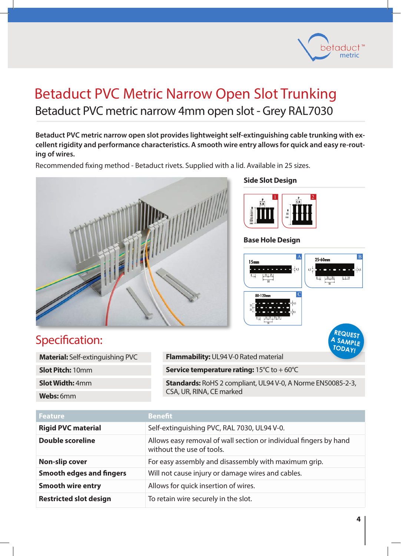

## Betaduct PVC Metric Narrow Open Slot Trunking Betaduct PVC metric narrow 4mm open slot - Grey RAL7030

**Betaduct PVC metric narrow open slot provides lightweight self-extinguishing cable trunking with excellent rigidity and performance characteristics. A smooth wire entry allows for quick and easy re-routing of wires.**

Recommended fixing method - Betaduct rivets. Supplied with a lid. Available in 25 sizes.



#### **Side Slot Design**



#### **Base Hole Design**



### Specification:

| <b>Material:</b> Self-extinguishing PVC |  |
|-----------------------------------------|--|
| <b>Slot Pitch: 10mm</b>                 |  |
| <b>Slot Width: 4mm</b>                  |  |
| <b>Webs:</b> 6mm                        |  |

**Flammability:** UL94 V-0 Rated material **Service temperature rating:** 15°C to + 60°C **Standards:** RoHS 2 compliant, UL94 V-0, A Norme EN50085-2-3, **TODAY!**

CSA, UR, RINA, CE marked

| <b>Feature</b>                  | <b>Benefit</b>                                                                                 |
|---------------------------------|------------------------------------------------------------------------------------------------|
| <b>Rigid PVC material</b>       | Self-extinguishing PVC, RAL 7030, UL94 V-0.                                                    |
| <b>Double scoreline</b>         | Allows easy removal of wall section or individual fingers by hand<br>without the use of tools. |
| <b>Non-slip cover</b>           | For easy assembly and disassembly with maximum grip.                                           |
| <b>Smooth edges and fingers</b> | Will not cause injury or damage wires and cables.                                              |
| <b>Smooth wire entry</b>        | Allows for quick insertion of wires.                                                           |
| <b>Restricted slot design</b>   | To retain wire securely in the slot.                                                           |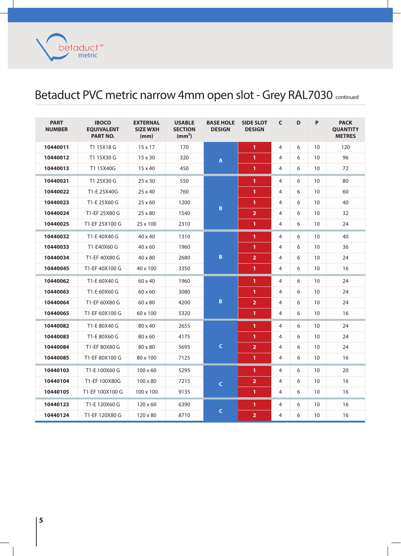metric betaduct<sup>™</sup>

## Betaduct PVC metric narrow 4mm open slot - Grey RAL7030 continued

| <b>PART</b><br><b>NUMBER</b> | <b>IBOCO</b><br><b>EQUIVALENT</b><br><b>PART NO.</b> | <b>EXTERNAL</b><br><b>SIZE WXH</b><br>(mm) | <b>USABLE</b><br><b>SECTION</b><br>(mm <sup>2</sup> ) | <b>BASE HOLE</b><br><b>DESIGN</b> | <b>SIDE SLOT</b><br><b>DESIGN</b> | C | D | P               | <b>PACK</b><br><b>QUANTITY</b><br><b>METRES</b> |
|------------------------------|------------------------------------------------------|--------------------------------------------|-------------------------------------------------------|-----------------------------------|-----------------------------------|---|---|-----------------|-------------------------------------------------|
| 10440011                     | T1 15X18 G                                           | $15 \times 17$                             | 170                                                   |                                   | 1                                 | 4 | 6 | 10              | 120                                             |
| 10440012                     | T1 15X30 G                                           | $15 \times 30$                             | 320                                                   | $\pmb{\mathsf{A}}$                | 1                                 | 4 | 6 | 10              | 96                                              |
| 10440013                     | T1 15X40G                                            | $15 \times 40$                             | 450                                                   |                                   | 1                                 | 4 | 6 | 10              | 72                                              |
| 10440021                     | T1 25X30 G                                           | $25 \times 30$                             | 550                                                   |                                   | 1                                 | 4 | 6 | 10              | 80                                              |
| 10440022                     | T1-E 25X40G                                          | 25 x 40                                    | 760                                                   |                                   | 1                                 | 4 | 6 | 10              | 60                                              |
| 10440023                     | T1-E 25X60 G                                         | $25 \times 60$                             | 1200                                                  |                                   | $\mathbf{1}$                      | 4 | 6 | 10              | 40                                              |
| 10440024                     | T1-EF 25X80 G                                        | 25 x 80                                    | 1540                                                  | $\, {\bf B}$                      | $\overline{2}$                    | 4 | 6 | 10              | 32                                              |
| 10440025                     | T1-EF 25X100 G                                       | 25 x 100                                   | 2310                                                  |                                   | $\mathbf{1}$                      | 4 | 6 | 10 <sup>°</sup> | 24                                              |
| 10440032                     | T1-E 40X40 G                                         | $40 \times 40$                             | 1310                                                  |                                   | 1                                 | 4 | 6 | 10              | 40                                              |
| 10440033                     | T1-E40X60 G                                          | 40 x 60                                    | 1960                                                  |                                   | 1                                 | 4 | 6 | 10              | 36                                              |
| 10440034                     | T1-EF 40X80 G                                        | $40 \times 80$                             | 2680                                                  | $\, {\bf B}$                      | $\overline{2}$                    | 4 | 6 | 10              | 24                                              |
| 10440045                     | T1-EF 40X100 G                                       | 40 x 100                                   | 3350                                                  |                                   | $\mathbf{1}$                      | 4 | 6 | 10              | 16                                              |
| 10440062                     | T1-E 60X40 G                                         | 60 x 40                                    | 1960                                                  |                                   | $\mathbf{1}$                      | 4 | 6 | 10              | 24                                              |
| 10440063                     | T1-E 60X60 G                                         | $60 \times 60$                             | 3080                                                  |                                   | 1                                 | 4 | 6 | 10              | 24                                              |
| 10440064                     | T1-EF 60X80 G                                        | 60 x 80                                    | 4200                                                  | $\, {\bf B}$                      | $\overline{2}$                    | 4 | 6 | 10              | 24                                              |
| 10440065                     | T1-EF 60X100 G                                       | 60 x 100                                   | 5320                                                  |                                   | $\mathbf{1}$                      | 4 | 6 | 10              | 16                                              |
| 10440082                     | T1-E 80X40 G                                         | 80 x 40                                    | 2655                                                  |                                   | 1                                 | 4 | 6 | 10              | 24                                              |
| 10440083                     | T1-E 80X60 G                                         | 80 x 60                                    | 4175                                                  |                                   | 1                                 | 4 | 6 | 10              | 24                                              |
| 10440084                     | T1-EF 80X80 G                                        | 80 x 80                                    | 5695                                                  | $\mathsf{C}$                      | $\overline{2}$                    | 4 | 6 | 10              | 24                                              |
| 10440085                     | T1-EF 80X100 G                                       | 80 x 100                                   | 7125                                                  |                                   | $\mathbf{1}$                      | 4 | 6 | 10              | 16                                              |
| 10440103                     | T1-E 100X60 G                                        | $100 \times 60$                            | 5295                                                  |                                   | 1                                 | 4 | 6 | 10              | 20                                              |
| 10440104                     | T1-EF 100X80G                                        | $100 \times 80$                            | 7215                                                  | $\mathsf{C}$                      | $\overline{2}$                    | 4 | 6 | 10              | 16                                              |
| 10440105                     | T1-EF 100X100 G                                      | 100 x 100                                  | 9135                                                  |                                   | 1                                 | 4 | 6 | 10              | 16                                              |
| 10440123                     | T1-E 120X60 G                                        | $120 \times 60$                            | 6390                                                  |                                   | 1                                 | 4 | 6 | 10              | 16                                              |
| 10440124                     | T1-EF 120X80 G                                       | $120 \times 80$                            | 8710                                                  | $\mathsf C$                       | $\overline{2}$                    | 4 | 6 | 10              | 16                                              |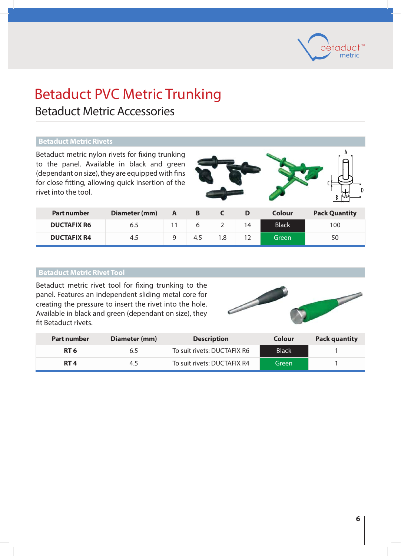

## Betaduct PVC Metric Trunking

### Betaduct Metric Accessories

#### **Betaduct Metric Rivets**

Betaduct metric nylon rivets for fixing trunking to the panel. Available in black and green (dependant on size), they are equipped with fins for close fitting, allowing quick insertion of the rivet into the tool.



| <b>Part number</b> | Diameter (mm) | A | В   |   |    | Colour       | <b>Pack Quantity</b> |
|--------------------|---------------|---|-----|---|----|--------------|----------------------|
| <b>DUCTAFIX R6</b> | 6.5           |   |     | ∠ | 14 | <b>Black</b> | 100                  |
| <b>DUCTAFIX R4</b> | 4.5           |   | 4.5 |   |    | Green        | 50                   |

#### **Betaduct metric rivet tool Metric Rivet Tool**

Betaduct metric rivet tool for fixing trunking to the panel. Features an independent sliding metal core for creating the pressure to insert the rivet into the hole. Available in black and green (dependant on size), they fit Betaduct rivets.



| <b>Part number</b> | Diameter (mm) | <b>Description</b>          | Colour       | <b>Pack quantity</b> |
|--------------------|---------------|-----------------------------|--------------|----------------------|
| RT 6               | 6.5           | To suit rivets: DUCTAFIX R6 | <b>Black</b> |                      |
| RT 4               | 4.5           | To suit rivets: DUCTAFIX R4 | Green        |                      |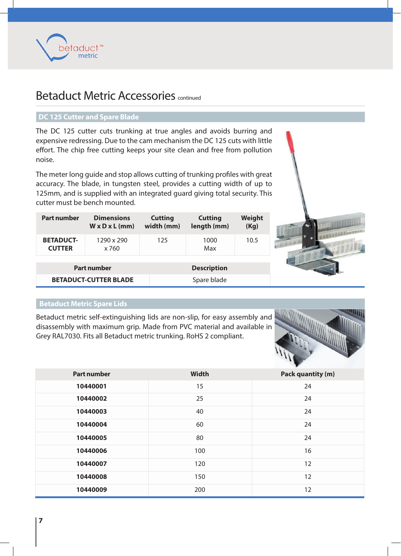

### Betaduct Metric Accessories continued

#### **DC 125 Cutter and Spare Blade**

The DC 125 cutter cuts trunking at true angles and avoids burring and expensive redressing. Due to the cam mechanism the DC 125 cuts with little effort. The chip free cutting keeps your site clean and free from pollution noise.

The meter long guide and stop allows cutting of trunking profiles with great accuracy. The blade, in tungsten steel, provides a cutting width of up to 125mm, and is supplied with an integrated guard giving total security. This cutter must be bench mounted.

| <b>Part number</b>                | <b>Dimensions</b><br>$W \times D \times L$ (mm) | <b>Cutting</b><br>width (mm) | <b>Cutting</b><br>length (mm) | Weight<br>(Kg) |
|-----------------------------------|-------------------------------------------------|------------------------------|-------------------------------|----------------|
| <b>BETADUCT-</b><br><b>CUTTER</b> | 1290 x 290<br>x 760                             | 125                          | 1000<br>Max                   | 10.5           |
|                                   | <b>Part number</b>                              |                              | <b>Description</b>            |                |
|                                   | <b>BETADUCT-CUTTER BLADE</b>                    |                              | Spare blade                   |                |

### **Betaduct Metric Spare Lids**

Betaduct metric self-extinguishing lids are non-slip, for easy assembly and disassembly with maximum grip. Made from PVC material and available in Grey RAL7030. Fits all Betaduct metric trunking. RoHS 2 compliant.



| <b>Part number</b> | <b>Width</b> | <b>Pack quantity (m)</b> |
|--------------------|--------------|--------------------------|
| 10440001           | 15           | 24                       |
| 10440002           | 25           | 24                       |
| 10440003           | 40           | 24                       |
| 10440004           | 60           | 24                       |
| 10440005           | 80           | 24                       |
| 10440006           | 100          | 16                       |
| 10440007           | 120          | 12                       |
| 10440008           | 150          | 12                       |
| 10440009           | 200          | 12                       |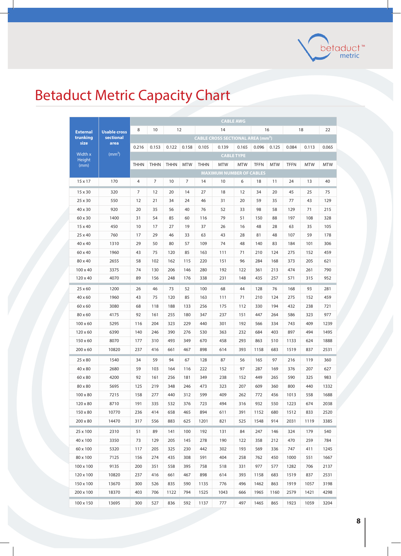

# Betaduct Metric Capacity Chart

|                 |                     | <b>CABLE AWG</b> |             |             |            |             |                                                    |                   |             |            |             |            |            |
|-----------------|---------------------|------------------|-------------|-------------|------------|-------------|----------------------------------------------------|-------------------|-------------|------------|-------------|------------|------------|
| <b>External</b> | <b>Usable cross</b> | 8                | 10          | 12          |            |             | 14                                                 |                   |             | 16         |             | 18         | 22         |
| trunking        | sectional           |                  |             |             |            |             | <b>CABLE CROSS SECTIONAL AREA (mm<sup>2</sup>)</b> |                   |             |            |             |            |            |
| size            | area                | 0.216            | 0.153       | 0.122       | 0.158      | 0.105       | 0.139                                              | 0.165             | 0.096       | 0.125      | 0.084       | 0.113      | 0.065      |
| Width x         | $\rm (mm^2)$        |                  |             |             |            |             |                                                    | <b>CABLE TYPE</b> |             |            |             |            |            |
| Height<br>(mm)  |                     | <b>THHN</b>      | <b>THHN</b> | <b>THHN</b> | <b>MTW</b> | <b>THHN</b> | <b>MTW</b>                                         | <b>MTW</b>        | <b>TFFN</b> | <b>MTW</b> | <b>TFFN</b> | <b>MTW</b> | <b>MTW</b> |
|                 |                     |                  |             |             |            |             | <b>MAXIMUM NUMBER OF CABLES</b>                    |                   |             |            |             |            |            |
| 15 x 17         | 170                 | 4                | 7           | 10          | 7          | 14          | 10                                                 | 6                 | 18          | 11         | 24          | 13         | 40         |
| 15 x 30         | 320                 | 7                | 12          | 20          | 14         | 27          | 18                                                 | 12                | 34          | 20         | 45          | 25         | 75         |
| 25 x 30         | 550                 | 12               | 21          | 34          | 24         | 46          | 31                                                 | 20                | 59          | 35         | 77          | 43         | 129        |
| 40 x 30         | 920                 | 20               | 35          | 56          | 40         | 76          | 52                                                 | 33                | 98          | 58         | 129         | 71         | 215        |
| 60 x 30         | 1400                | 31               | 54          | 85          | 60         | 116         | 79                                                 | 51                | 150         | 88         | 197         | 108        | 328        |
| 15 x 40         | 450                 | 10               | 17          | 27          | 19         | 37          | 26                                                 | 16                | 48          | 28         | 63          | 35         | 105        |
| 25 x 40         | 760                 | 17               | 29          | 46          | 33         | 63          | 43                                                 | 28                | 81          | 48         | 107         | 59         | 178        |
| 40 x 40         | 1310                | 29               | 50          | 80          | 57         | 109         | 74                                                 | 48                | 140         | 83         | 184         | 101        | 306        |
| 60 x 40         | 1960                | 43               | 75          | 120         | 85         | 163         | 111                                                | 71                | 210         | 124        | 275         | 152        | 459        |
| 80 x 40         | 2655                | 58               | 102         | 162         | 115        | 220         | 151                                                | 96                | 284         | 168        | 373         | 205        | 621        |
| $100 \times 40$ | 3375                | 74               | 130         | 206         | 146        | 280         | 192                                                | 122               | 361         | 213        | 474         | 261        | 790        |
| 120 x 40        | 4070                | 89               | 156         | 248         | 176        | 338         | 231                                                | 148               | 435         | 257        | 571         | 315        | 952        |
| 25 x 60         | 1200                | 26               | 46          | 73          | 52         | 100         | 68                                                 | 44                | 128         | 76         | 168         | 93         | 281        |
| 40 x 60         | 1960                | 43               | 75          | 120         | 85         | 163         | 111                                                | 71                | 210         | 124        | 275         | 152        | 459        |
| 60 x 60         | 3080                | 68               | 118         | 188         | 133        | 256         | 175                                                | 112               | 330         | 194        | 432         | 238        | 721        |
| 80 x 60         | 4175                | 92               | 161         | 255         | 180        | 347         | 237                                                | 151               | 447         | 264        | 586         | 323        | 977        |
| $100 \times 60$ | 5295                | 116              | 204         | 323         | 229        | 440         | 301                                                | 192               | 566         | 334        | 743         | 409        | 1239       |
| $120 \times 60$ | 6390                | 140              | 246         | 390         | 276        | 530         | 363                                                | 232               | 684         | 403        | 897         | 494        | 1495       |
| 150 x 60        | 8070                | 177              | 310         | 493         | 349        | 670         | 458                                                | 293               | 863         | 510        | 1133        | 624        | 1888       |
| $200 \times 60$ | 10820               | 237              | 416         | 661         | 467        | 898         | 614                                                | 393               | 1158        | 683        | 1519        | 837        | 2531       |
| 25 x 80         | 1540                | 34               | 59          | 94          | 67         | 128         | 87                                                 | 56                | 165         | 97         | 216         | 119        | 360        |
| 40 x 80         | 2680                | 59               | 103         | 164         | 116        | 222         | 152                                                | 97                | 287         | 169        | 376         | 207        | 627        |
| 60 x 80         | 4200                | 92               | 161         | 256         | 181        | 349         | 238                                                | 152               | 449         | 265        | 590         | 325        | 983        |
| 80 x 80         | 5695                | 125              | 219         | 348         | 246        | 473         | 323                                                | 207               | 609         | 360        | 800         | 440        | 1332       |
| $100 \times 80$ | 7215                | 158              | 277         | 440         | 312        | 599         | 409                                                | 262               | 772         | 456        | 1013        | 558        | 1688       |
| 120 x 80        | 8710                | 191              | 335         | 532         | 376        | 723         | 494                                                | 316               | 932         | 550        | 1223        | 674        | 2038       |
| 150 x 80        | 10770               | 236              | 414         | 658         | 465        | 894         | 611                                                | 391               | 1152        | 680        | 1512        | 833        | 2520       |
| $200 \times 80$ | 14470               | 317              | 556         | 883         | 625        | 1201        | 821                                                | 525               | 1548        | 914        | 2031        | 1119       | 3385       |
| 25 x 100        | 2310                | 51               | 89          | 141         | 100        | 192         | 131                                                | 84                | 247         | 146        | 324         | 179        | 540        |
| 40 x 100        | 3350                | 73               | 129         | 205         | 145        | 278         | 190                                                | 122               | 358         | 212        | 470         | 259        | 784        |
| 60 x 100        | 5320                | 117              | 205         | 325         | 230        | 442         | 302                                                | 193               | 569         | 336        | 747         | 411        | 1245       |
| 80 x 100        | 7125                | 156              | 274         | 435         | 308        | 591         | 404                                                | 258               | 762         | 450        | 1000        | 551        | 1667       |
| 100 x 100       | 9135                | 200              | 351         | 558         | 395        | 758         | 518                                                | 331               | 977         | 577        | 1282        | 706        | 2137       |
| 120 x 100       | 10820               | 237              | 416         | 661         | 467        | 898         | 614                                                | 393               | 1158        | 683        | 1519        | 837        | 2531       |
| 150 x 100       | 13670               | 300              | 526         | 835         | 590        | 1135        | 776                                                | 496               | 1462        | 863        | 1919        | 1057       | 3198       |
| 200 x 100       | 18370               | 403              | 706         | 1122        | 794        | 1525        | 1043                                               | 666               | 1965        | 1160       | 2579        | 1421       | 4298       |
| 100 x 150       | 13695               | 300              | 527         | 836         | 592        | 1137        | 777                                                | 497               | 1465        | 865        | 1923        | 1059       | 3204       |